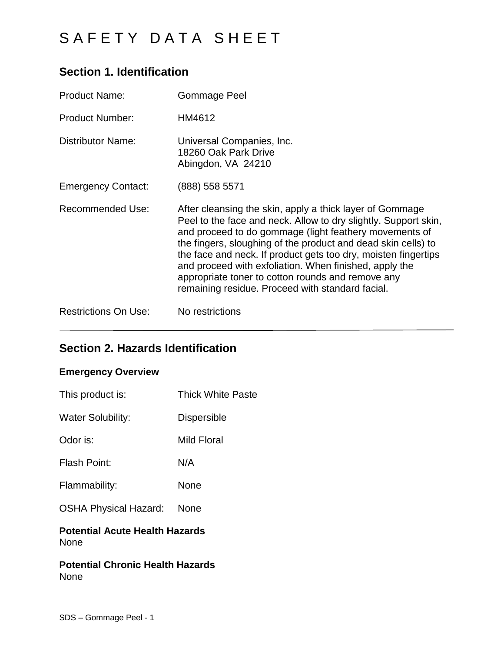# **Section 1. Identification**

| <b>Product Name:</b>        | <b>Gommage Peel</b>                                                                                                                                                                                                                                                                                                                                                                                                                                                                         |
|-----------------------------|---------------------------------------------------------------------------------------------------------------------------------------------------------------------------------------------------------------------------------------------------------------------------------------------------------------------------------------------------------------------------------------------------------------------------------------------------------------------------------------------|
| <b>Product Number:</b>      | HM4612                                                                                                                                                                                                                                                                                                                                                                                                                                                                                      |
| <b>Distributor Name:</b>    | Universal Companies, Inc.<br>18260 Oak Park Drive<br>Abingdon, VA 24210                                                                                                                                                                                                                                                                                                                                                                                                                     |
| <b>Emergency Contact:</b>   | (888) 558 5571                                                                                                                                                                                                                                                                                                                                                                                                                                                                              |
| <b>Recommended Use:</b>     | After cleansing the skin, apply a thick layer of Gommage<br>Peel to the face and neck. Allow to dry slightly. Support skin,<br>and proceed to do gommage (light feathery movements of<br>the fingers, sloughing of the product and dead skin cells) to<br>the face and neck. If product gets too dry, moisten fingertips<br>and proceed with exfoliation. When finished, apply the<br>appropriate toner to cotton rounds and remove any<br>remaining residue. Proceed with standard facial. |
| <b>Restrictions On Use:</b> | No restrictions                                                                                                                                                                                                                                                                                                                                                                                                                                                                             |

# **Section 2. Hazards Identification**

### **Emergency Overview**

| This product is:                                     | <b>Thick White Paste</b> |
|------------------------------------------------------|--------------------------|
| <b>Water Solubility:</b>                             | <b>Dispersible</b>       |
| Odor is:                                             | Mild Floral              |
| Flash Point:                                         | N/A                      |
| Flammability:                                        | None                     |
| <b>OSHA Physical Hazard:</b>                         | <b>None</b>              |
| <b>Potential Acute Health Hazards</b><br><b>None</b> |                          |

**Potential Chronic Health Hazards** None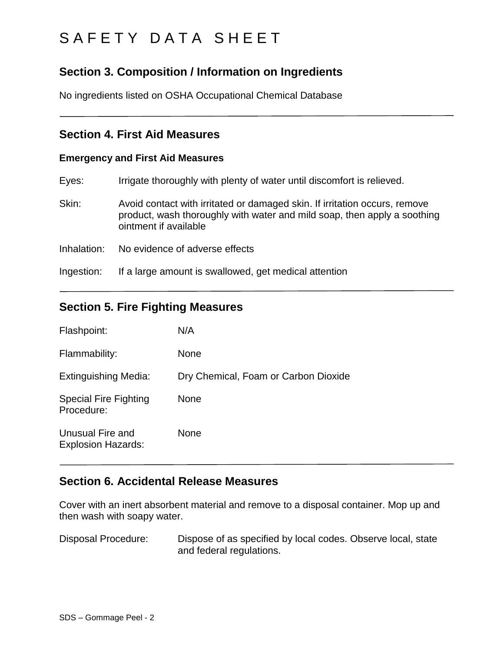## **Section 3. Composition / Information on Ingredients**

No ingredients listed on OSHA Occupational Chemical Database

### **Section 4. First Aid Measures**

### **Emergency and First Aid Measures**

| Eyes:       | Irrigate thoroughly with plenty of water until discomfort is relieved.                                                                                                          |
|-------------|---------------------------------------------------------------------------------------------------------------------------------------------------------------------------------|
| Skin:       | Avoid contact with irritated or damaged skin. If irritation occurs, remove<br>product, wash thoroughly with water and mild soap, then apply a soothing<br>ointment if available |
| Inhalation: | No evidence of adverse effects                                                                                                                                                  |

Ingestion: If a large amount is swallowed, get medical attention

## **Section 5. Fire Fighting Measures**

| Flashpoint:                                   | N/A                                  |
|-----------------------------------------------|--------------------------------------|
| Flammability:                                 | None                                 |
| Extinguishing Media:                          | Dry Chemical, Foam or Carbon Dioxide |
| <b>Special Fire Fighting</b><br>Procedure:    | None                                 |
| Unusual Fire and<br><b>Explosion Hazards:</b> | None                                 |

## **Section 6. Accidental Release Measures**

Cover with an inert absorbent material and remove to a disposal container. Mop up and then wash with soapy water.

Disposal Procedure: Dispose of as specified by local codes. Observe local, state and federal regulations.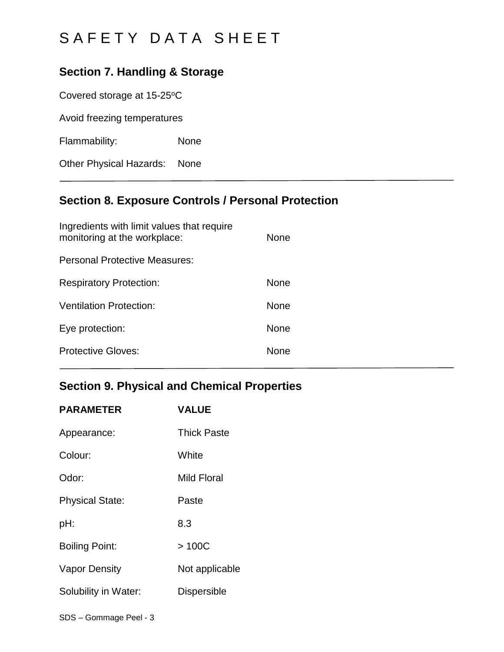## **Section 7. Handling & Storage**

Covered storage at 15-25°C

Avoid freezing temperatures

Flammability: None

Other Physical Hazards: None

# **Section 8. Exposure Controls / Personal Protection**

| None        |
|-------------|
|             |
| <b>None</b> |
| <b>None</b> |
| None        |
| None        |
|             |

## **Section 9. Physical and Chemical Properties**

| <b>PARAMETER</b>       | <b>VALUE</b>       |
|------------------------|--------------------|
| Appearance:            | <b>Thick Paste</b> |
| Colour:                | White              |
| Odor:                  | Mild Floral        |
| <b>Physical State:</b> | Paste              |
| pH:                    | 8.3                |
| <b>Boiling Point:</b>  | >100C              |
| <b>Vapor Density</b>   | Not applicable     |
| Solubility in Water:   | <b>Dispersible</b> |
|                        |                    |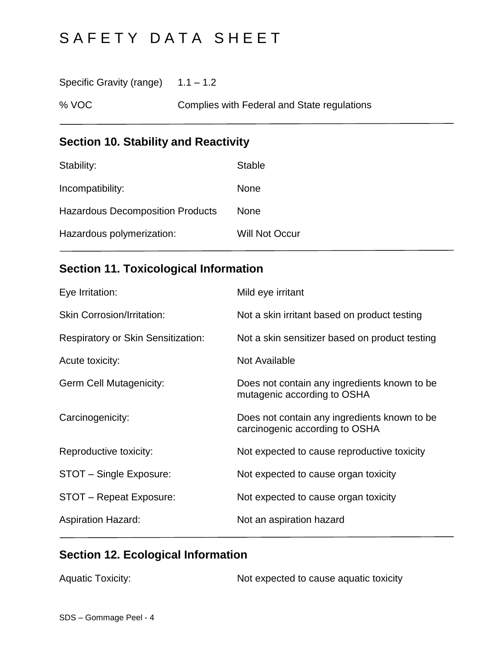Specific Gravity (range)  $1.1 - 1.2$ 

% VOC Complies with Federal and State regulations

# **Section 10. Stability and Reactivity**

| Stability:                              | <b>Stable</b>         |
|-----------------------------------------|-----------------------|
| Incompatibility:                        | <b>None</b>           |
| <b>Hazardous Decomposition Products</b> | <b>None</b>           |
| Hazardous polymerization:               | <b>Will Not Occur</b> |

# **Section 11. Toxicological Information**

| Eye Irritation:                           | Mild eye irritant                                                              |
|-------------------------------------------|--------------------------------------------------------------------------------|
| <b>Skin Corrosion/Irritation:</b>         | Not a skin irritant based on product testing                                   |
| <b>Respiratory or Skin Sensitization:</b> | Not a skin sensitizer based on product testing                                 |
| Acute toxicity:                           | Not Available                                                                  |
| <b>Germ Cell Mutagenicity:</b>            | Does not contain any ingredients known to be<br>mutagenic according to OSHA    |
| Carcinogenicity:                          | Does not contain any ingredients known to be<br>carcinogenic according to OSHA |
| Reproductive toxicity:                    | Not expected to cause reproductive toxicity                                    |
| STOT - Single Exposure:                   | Not expected to cause organ toxicity                                           |
| STOT - Repeat Exposure:                   | Not expected to cause organ toxicity                                           |
| <b>Aspiration Hazard:</b>                 | Not an aspiration hazard                                                       |

# **Section 12. Ecological Information**

| <b>Aquatic Toxicity:</b> | Not expected to cause aquatic toxicity |
|--------------------------|----------------------------------------|
|--------------------------|----------------------------------------|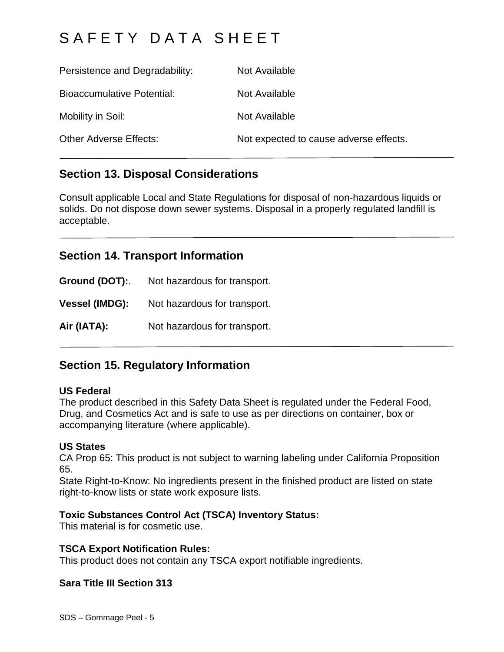| Persistence and Degradability:    | Not Available                          |
|-----------------------------------|----------------------------------------|
| <b>Bioaccumulative Potential:</b> | Not Available                          |
| Mobility in Soil:                 | Not Available                          |
| <b>Other Adverse Effects:</b>     | Not expected to cause adverse effects. |

## **Section 13. Disposal Considerations**

Consult applicable Local and State Regulations for disposal of non-hazardous liquids or solids. Do not dispose down sewer systems. Disposal in a properly regulated landfill is acceptable.

## **Section 14. Transport Information**

**Ground (DOT):**. Not hazardous for transport. **Vessel (IMDG):** Not hazardous for transport.

Air (IATA): Not hazardous for transport.

## **Section 15. Regulatory Information**

### **US Federal**

The product described in this Safety Data Sheet is regulated under the Federal Food, Drug, and Cosmetics Act and is safe to use as per directions on container, box or accompanying literature (where applicable).

### **US States**

CA Prop 65: This product is not subject to warning labeling under California Proposition 65.

State Right-to-Know: No ingredients present in the finished product are listed on state right-to-know lists or state work exposure lists.

### **Toxic Substances Control Act (TSCA) Inventory Status:**

This material is for cosmetic use.

### **TSCA Export Notification Rules:**

This product does not contain any TSCA export notifiable ingredients.

### **Sara Title III Section 313**